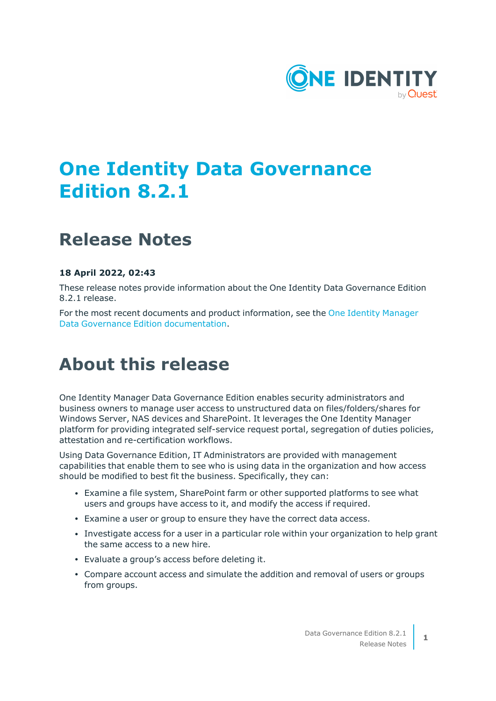

# **One Identity Data Governance Edition 8.2.1**

## **Release Notes**

### **18 April 2022, 02:43**

These release notes provide information about the One Identity Data Governance Edition 8.2.1 release.

For the most recent documents and product information, see the One Identity [Manager](https://support.oneidentity.com/identity-manager-data-governance-edition/8.1.5/technical-documents) Data Governance Edition [documentation](https://support.oneidentity.com/identity-manager-data-governance-edition/8.1.5/technical-documents).

# **About this release**

One Identity Manager Data Governance Edition enables security administrators and business owners to manage user access to unstructured data on files/folders/shares for Windows Server, NAS devices and SharePoint. It leverages the One Identity Manager platform for providing integrated self-service request portal, segregation of duties policies, attestation and re-certification workflows.

Using Data Governance Edition, IT Administrators are provided with management capabilities that enable them to see who is using data in the organization and how access should be modified to best fit the business. Specifically, they can:

- <sup>l</sup> Examine a file system, SharePoint farm or other supported platforms to see what users and groups have access to it, and modify the access if required.
- <sup>l</sup> Examine a user or group to ensure they have the correct data access.
- Investigate access for a user in a particular role within your organization to help grant the same access to a new hire.
- Evaluate a group's access before deleting it.
- Compare account access and simulate the addition and removal of users or groups from groups.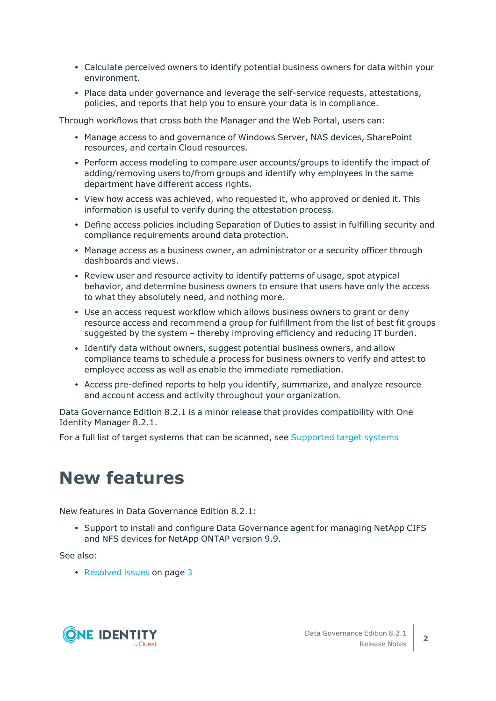- Calculate perceived owners to identify potential business owners for data within your environment.
- Place data under governance and leverage the self-service requests, attestations, policies, and reports that help you to ensure your data is in compliance.

Through workflows that cross both the Manager and the Web Portal, users can:

- Manage access to and governance of Windows Server, NAS devices, SharePoint resources, and certain Cloud resources.
- Perform access modeling to compare user accounts/groups to identify the impact of adding/removing users to/from groups and identify why employees in the same department have different access rights.
- View how access was achieved, who requested it, who approved or denied it. This information is useful to verify during the attestation process.
- Define access policies including Separation of Duties to assist in fulfilling security and compliance requirements around data protection.
- Manage access as a business owner, an administrator or a security officer through dashboards and views.
- Review user and resource activity to identify patterns of usage, spot atypical behavior, and determine business owners to ensure that users have only the access to what they absolutely need, and nothing more.
- Use an access request workflow which allows business owners to grant or deny resource access and recommend a group for fulfillment from the list of best fit groups suggested by the system – thereby improving efficiency and reducing IT burden.
- Identify data without owners, suggest potential business owners, and allow compliance teams to schedule a process for business owners to verify and attest to employee access as well as enable the immediate remediation.
- Access pre-defined reports to help you identify, summarize, and analyze resource and account access and activity throughout your organization.

Data Governance Edition 8.2.1 is a minor release that provides compatibility with One Identity Manager 8.2.1.

For a full list of target systems that can be scanned, see [Supported](#page-17-0) target systems

## **New features**

New features in Data Governance Edition 8.2.1:

• Support to install and configure Data Governance agent for managing NetApp CIFS and NFS devices for NetApp ONTAP version 9.9.

See also:

• [Resolved](#page-2-0) issues on page 3

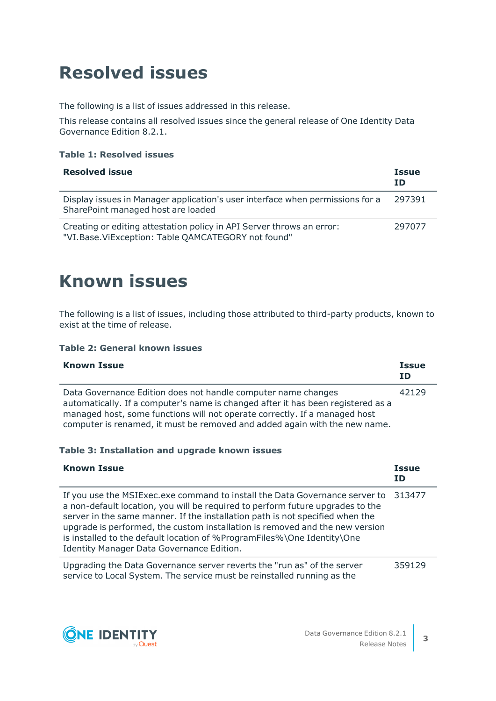# <span id="page-2-0"></span>**Resolved issues**

The following is a list of issues addressed in this release.

This release contains all resolved issues since the general release of One Identity Data Governance Edition 8.2.1.

### **Table 1: Resolved issues**

| <b>Resolved issue</b>                                                                                                       | <b>Issue</b><br><b>ID</b> |
|-----------------------------------------------------------------------------------------------------------------------------|---------------------------|
| Display issues in Manager application's user interface when permissions for a<br>SharePoint managed host are loaded         | 297391                    |
| Creating or editing attestation policy in API Server throws an error:<br>"VI.Base.ViException: Table QAMCATEGORY not found" | 297077                    |

## **Known issues**

The following is a list of issues, including those attributed to third-party products, known to exist at the time of release.

#### **Table 2: General known issues**

| <b>Known Issue</b>                                                                                                                                                                                                                                                                                            | <b>Issue</b><br>ID |
|---------------------------------------------------------------------------------------------------------------------------------------------------------------------------------------------------------------------------------------------------------------------------------------------------------------|--------------------|
| Data Governance Edition does not handle computer name changes<br>automatically. If a computer's name is changed after it has been registered as a<br>managed host, some functions will not operate correctly. If a managed host<br>computer is renamed, it must be removed and added again with the new name. | 42129              |

#### **Table 3: Installation and upgrade known issues**

| <b>Known Issue</b>                                                                                                                                                                                                                                                                                                                                                                                                                                     | <b>Issue</b><br>ΙD |
|--------------------------------------------------------------------------------------------------------------------------------------------------------------------------------------------------------------------------------------------------------------------------------------------------------------------------------------------------------------------------------------------------------------------------------------------------------|--------------------|
| If you use the MSIExec.exe command to install the Data Governance server to<br>a non-default location, you will be required to perform future upgrades to the<br>server in the same manner. If the installation path is not specified when the<br>upgrade is performed, the custom installation is removed and the new version<br>is installed to the default location of %ProgramFiles%\One Identity\One<br>Identity Manager Data Governance Edition. | 313477             |
| Upgrading the Data Governance server reverts the "run as" of the server<br>service to Local System. The service must be reinstalled running as the                                                                                                                                                                                                                                                                                                     | 359129             |

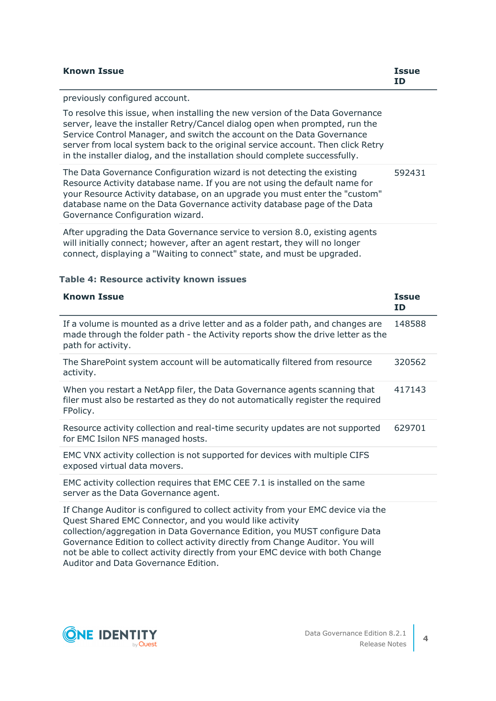| <b>Known Issue</b>                                                                                                                                                                                                                                                                                                                                                                                       | <b>Issue</b><br>ΙD |
|----------------------------------------------------------------------------------------------------------------------------------------------------------------------------------------------------------------------------------------------------------------------------------------------------------------------------------------------------------------------------------------------------------|--------------------|
| previously configured account.                                                                                                                                                                                                                                                                                                                                                                           |                    |
| To resolve this issue, when installing the new version of the Data Governance<br>server, leave the installer Retry/Cancel dialog open when prompted, run the<br>Service Control Manager, and switch the account on the Data Governance<br>server from local system back to the original service account. Then click Retry<br>in the installer dialog, and the installation should complete successfully. |                    |
| The Data Governance Configuration wizard is not detecting the existing<br>Resource Activity database name. If you are not using the default name for<br>your Resource Activity database, on an upgrade you must enter the "custom"<br>database name on the Data Governance activity database page of the Data<br>Governance Configuration wizard.                                                        | 592431             |
| After upgrading the Data Governance service to version 8.0, existing agents<br>will initially connect; however, after an agent restart, they will no longer                                                                                                                                                                                                                                              |                    |

will initially connect; however, after an agent restart, they will no longer connect, displaying a "Waiting to connect" state, and must be upgraded.

### **Table 4: Resource activity known issues**

| <b>Known Issue</b>                                                                                                                                                                                                                                                                                                                                                                           | <b>Issue</b><br>ID |
|----------------------------------------------------------------------------------------------------------------------------------------------------------------------------------------------------------------------------------------------------------------------------------------------------------------------------------------------------------------------------------------------|--------------------|
| If a volume is mounted as a drive letter and as a folder path, and changes are<br>made through the folder path - the Activity reports show the drive letter as the<br>path for activity.                                                                                                                                                                                                     | 148588             |
| The SharePoint system account will be automatically filtered from resource<br>activity.                                                                                                                                                                                                                                                                                                      | 320562             |
| When you restart a NetApp filer, the Data Governance agents scanning that<br>filer must also be restarted as they do not automatically register the required<br>FPolicy.                                                                                                                                                                                                                     | 417143             |
| Resource activity collection and real-time security updates are not supported<br>for EMC Isilon NFS managed hosts.                                                                                                                                                                                                                                                                           | 629701             |
| EMC VNX activity collection is not supported for devices with multiple CIFS<br>exposed virtual data movers.                                                                                                                                                                                                                                                                                  |                    |
| EMC activity collection requires that EMC CEE 7.1 is installed on the same<br>server as the Data Governance agent.                                                                                                                                                                                                                                                                           |                    |
| If Change Auditor is configured to collect activity from your EMC device via the<br>Quest Shared EMC Connector, and you would like activity<br>collection/aggregation in Data Governance Edition, you MUST configure Data<br>Governance Edition to collect activity directly from Change Auditor. You will<br>not be able to collect activity directly from your EMC device with both Change |                    |

Auditor and Data Governance Edition.

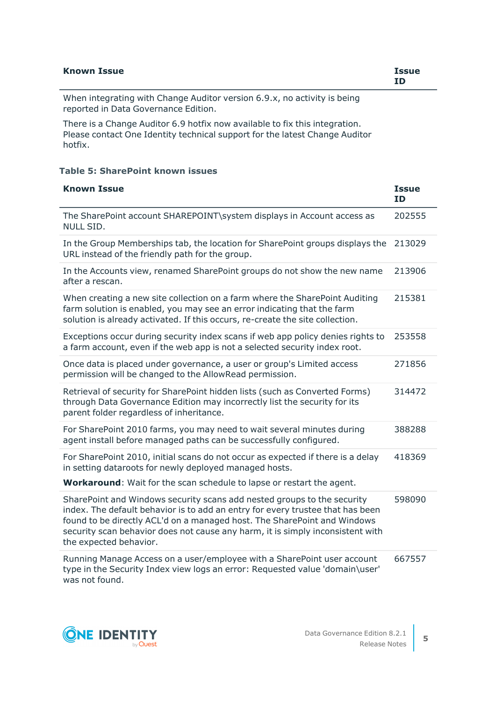| <b>Known Issue</b>                                                       | <b>Issue</b><br>ID |
|--------------------------------------------------------------------------|--------------------|
| When integrating with Change Auditor version 6.9.x, no activity is being |                    |
| reported in Data Governance Edition.                                     |                    |

There is a Change Auditor 6.9 hotfix now available to fix this integration. Please contact One Identity technical support for the latest Change Auditor hotfix.

#### **Table 5: SharePoint known issues**

| <b>Known Issue</b>                                                                                                                                                                                                                                                                                                                                | <b>Issue</b><br><b>ID</b> |
|---------------------------------------------------------------------------------------------------------------------------------------------------------------------------------------------------------------------------------------------------------------------------------------------------------------------------------------------------|---------------------------|
| The SharePoint account SHAREPOINT\system displays in Account access as<br>NULL SID.                                                                                                                                                                                                                                                               | 202555                    |
| In the Group Memberships tab, the location for SharePoint groups displays the<br>URL instead of the friendly path for the group.                                                                                                                                                                                                                  | 213029                    |
| In the Accounts view, renamed SharePoint groups do not show the new name<br>after a rescan.                                                                                                                                                                                                                                                       | 213906                    |
| When creating a new site collection on a farm where the SharePoint Auditing<br>farm solution is enabled, you may see an error indicating that the farm<br>solution is already activated. If this occurs, re-create the site collection.                                                                                                           | 215381                    |
| Exceptions occur during security index scans if web app policy denies rights to<br>a farm account, even if the web app is not a selected security index root.                                                                                                                                                                                     | 253558                    |
| Once data is placed under governance, a user or group's Limited access<br>permission will be changed to the AllowRead permission.                                                                                                                                                                                                                 | 271856                    |
| Retrieval of security for SharePoint hidden lists (such as Converted Forms)<br>through Data Governance Edition may incorrectly list the security for its<br>parent folder regardless of inheritance.                                                                                                                                              | 314472                    |
| For SharePoint 2010 farms, you may need to wait several minutes during<br>agent install before managed paths can be successfully configured.                                                                                                                                                                                                      | 388288                    |
| For SharePoint 2010, initial scans do not occur as expected if there is a delay<br>in setting dataroots for newly deployed managed hosts.                                                                                                                                                                                                         | 418369                    |
| <b>Workaround:</b> Wait for the scan schedule to lapse or restart the agent.                                                                                                                                                                                                                                                                      |                           |
| SharePoint and Windows security scans add nested groups to the security<br>index. The default behavior is to add an entry for every trustee that has been<br>found to be directly ACL'd on a managed host. The SharePoint and Windows<br>security scan behavior does not cause any harm, it is simply inconsistent with<br>the expected behavior. | 598090                    |
| Running Manage Access on a user/employee with a SharePoint user account<br>type in the Security Index view logs an error: Requested value 'domain\user'<br>was not found.                                                                                                                                                                         | 667557                    |

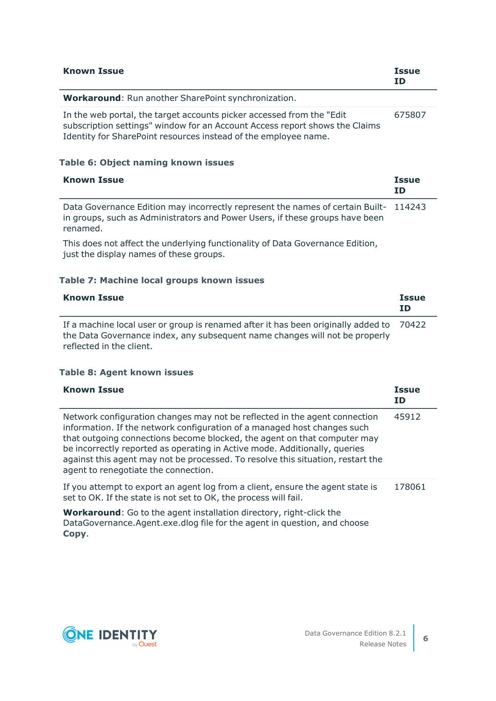| <b>Known Issue</b>                                                                                                                                                                                                       | <b>Issue</b><br>ID        |
|--------------------------------------------------------------------------------------------------------------------------------------------------------------------------------------------------------------------------|---------------------------|
| <b>Workaround:</b> Run another SharePoint synchronization.                                                                                                                                                               |                           |
| In the web portal, the target accounts picker accessed from the "Edit"<br>subscription settings" window for an Account Access report shows the Claims<br>Identity for SharePoint resources instead of the employee name. | 675807                    |
| Table 6: Object naming known issues                                                                                                                                                                                      |                           |
| <b>Known Issue</b>                                                                                                                                                                                                       | <b>Issue</b><br><b>ID</b> |
| Data Covernance Edition may incorrectly represent the names of sertain Puilt                                                                                                                                             | 11 1 7 1 7                |

Data Governance Edition may incorrectly represent the names of certain Built-114243 in groups, such as Administrators and Power Users, if these groups have been renamed.

This does not affect the underlying functionality of Data Governance Edition, just the display names of these groups.

### **Table 7: Machine local groups known issues**

| <b>Known Issue</b>                                                                                                                                                                                 | <b>Issue</b><br><b>TD</b> |
|----------------------------------------------------------------------------------------------------------------------------------------------------------------------------------------------------|---------------------------|
| If a machine local user or group is renamed after it has been originally added to 70422<br>the Data Governance index, any subsequent name changes will not be properly<br>reflected in the client. |                           |

#### **Table 8: Agent known issues**

| <b>Known Issue</b>                                                                                                                                                                                                                                                                                                                                                                                                                          | <b>Issue</b><br>ID. |
|---------------------------------------------------------------------------------------------------------------------------------------------------------------------------------------------------------------------------------------------------------------------------------------------------------------------------------------------------------------------------------------------------------------------------------------------|---------------------|
| Network configuration changes may not be reflected in the agent connection<br>information. If the network configuration of a managed host changes such<br>that outgoing connections become blocked, the agent on that computer may<br>be incorrectly reported as operating in Active mode. Additionally, queries<br>against this agent may not be processed. To resolve this situation, restart the<br>agent to renegotiate the connection. | 45912               |
| If you attempt to export an agent log from a client, ensure the agent state is<br>set to OK. If the state is not set to OK, the process will fail.                                                                                                                                                                                                                                                                                          | 178061              |
| <b>Workaround:</b> Go to the agent installation directory, right-click the<br>DataGovernance.Agent.exe.dlog file for the agent in question, and choose                                                                                                                                                                                                                                                                                      |                     |

**Copy**.

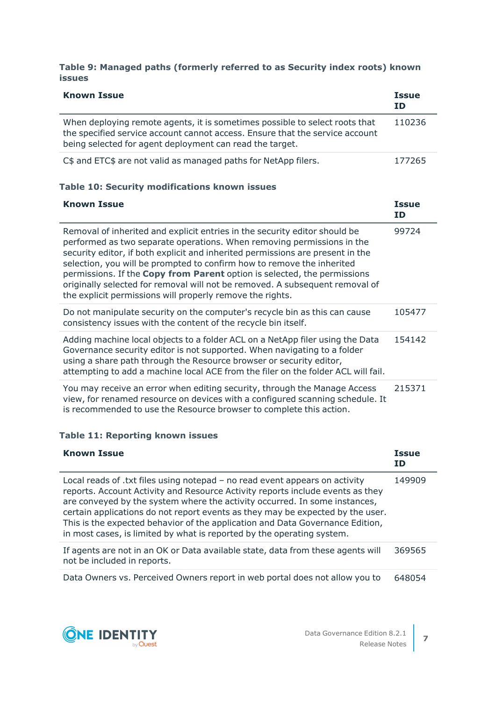### **Table 9: Managed paths (formerly referred to as Security index roots) known issues**

| <b>Known Issue</b>                                                                                                                                                                                                                                                                                                                                                                                                                                                                                                                        | <b>Issue</b><br><b>ID</b> |
|-------------------------------------------------------------------------------------------------------------------------------------------------------------------------------------------------------------------------------------------------------------------------------------------------------------------------------------------------------------------------------------------------------------------------------------------------------------------------------------------------------------------------------------------|---------------------------|
| When deploying remote agents, it is sometimes possible to select roots that<br>the specified service account cannot access. Ensure that the service account<br>being selected for agent deployment can read the target.                                                                                                                                                                                                                                                                                                                   | 110236                    |
| C\$ and ETC\$ are not valid as managed paths for NetApp filers.                                                                                                                                                                                                                                                                                                                                                                                                                                                                           | 177265                    |
| <b>Table 10: Security modifications known issues</b>                                                                                                                                                                                                                                                                                                                                                                                                                                                                                      |                           |
| <b>Known Issue</b>                                                                                                                                                                                                                                                                                                                                                                                                                                                                                                                        | <b>Issue</b><br><b>ID</b> |
| Removal of inherited and explicit entries in the security editor should be<br>performed as two separate operations. When removing permissions in the<br>security editor, if both explicit and inherited permissions are present in the<br>selection, you will be prompted to confirm how to remove the inherited<br>permissions. If the Copy from Parent option is selected, the permissions<br>originally selected for removal will not be removed. A subsequent removal of<br>the explicit permissions will properly remove the rights. | 99724                     |
| Do not manipulate security on the computer's recycle bin as this can cause<br>consistency issues with the content of the recycle bin itself.                                                                                                                                                                                                                                                                                                                                                                                              | 105477                    |
| Adding machine local objects to a folder ACL on a NetApp filer using the Data<br>Governance security editor is not supported. When navigating to a folder<br>using a share path through the Resource browser or security editor,<br>attempting to add a machine local ACE from the filer on the folder ACL will fail.                                                                                                                                                                                                                     | 154142                    |
| You may receive an error when editing security, through the Manage Access<br>view, for renamed resource on devices with a configured scanning schedule. It<br>is recommended to use the Resource browser to complete this action.                                                                                                                                                                                                                                                                                                         | 215371                    |

### **Table 11: Reporting known issues**

| <b>Known Issue</b>                                                                                                                                                                                                                                                                                                                                                                                                                                                                       | <b>Issue</b><br>ΙD |
|------------------------------------------------------------------------------------------------------------------------------------------------------------------------------------------------------------------------------------------------------------------------------------------------------------------------------------------------------------------------------------------------------------------------------------------------------------------------------------------|--------------------|
| Local reads of .txt files using notepad – no read event appears on activity<br>reports. Account Activity and Resource Activity reports include events as they<br>are conveyed by the system where the activity occurred. In some instances,<br>certain applications do not report events as they may be expected by the user.<br>This is the expected behavior of the application and Data Governance Edition,<br>in most cases, is limited by what is reported by the operating system. | 149909             |
| If agents are not in an OK or Data available state, data from these agents will<br>not be included in reports.                                                                                                                                                                                                                                                                                                                                                                           | 369565             |
| Data Owners vs. Perceived Owners report in web portal does not allow you to                                                                                                                                                                                                                                                                                                                                                                                                              | 648054             |

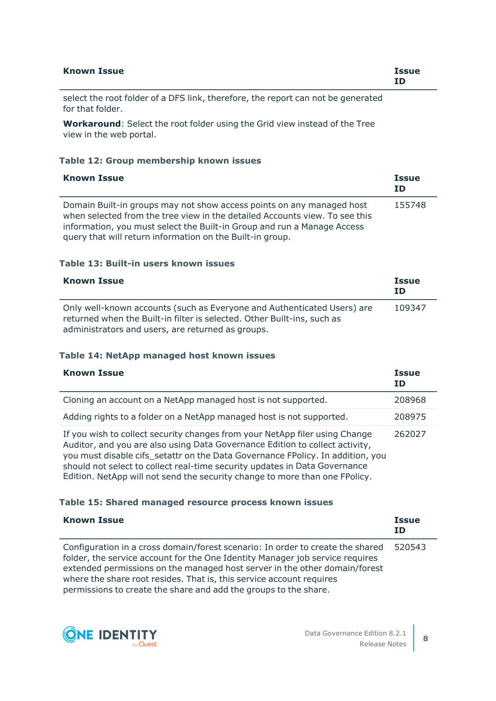| <b>Known Issue</b> | <b>Issue</b><br>ΙD |
|--------------------|--------------------|
|                    |                    |

select the root folder of a DFS link, therefore, the report can not be generated for that folder.

**Workaround**: Select the root folder using the Grid view instead of the Tree view in the web portal.

#### **Table 12: Group membership known issues**

| <b>Known Issue</b>                                                                                                                                                                                                                                                                           | <b>Issue</b><br>ΙD |
|----------------------------------------------------------------------------------------------------------------------------------------------------------------------------------------------------------------------------------------------------------------------------------------------|--------------------|
| Domain Built-in groups may not show access points on any managed host<br>when selected from the tree view in the detailed Accounts view. To see this<br>information, you must select the Built-in Group and run a Manage Access<br>query that will return information on the Built-in group. | 155748             |

#### **Table 13: Built-in users known issues**

| <b>Known Issue</b>                                                                                                                                                                                      | <b>Issue</b><br>ΙD |
|---------------------------------------------------------------------------------------------------------------------------------------------------------------------------------------------------------|--------------------|
| Only well-known accounts (such as Everyone and Authenticated Users) are<br>returned when the Built-in filter is selected. Other Built-ins, such as<br>administrators and users, are returned as groups. | 109347             |

#### **Table 14: NetApp managed host known issues**

| <b>Known Issue</b>                                                                                                                                                                                                                                                                                                                                                                                         | <b>Issue</b><br>ΙD |
|------------------------------------------------------------------------------------------------------------------------------------------------------------------------------------------------------------------------------------------------------------------------------------------------------------------------------------------------------------------------------------------------------------|--------------------|
| Cloning an account on a NetApp managed host is not supported.                                                                                                                                                                                                                                                                                                                                              | 208968             |
| Adding rights to a folder on a NetApp managed host is not supported.                                                                                                                                                                                                                                                                                                                                       | 208975             |
| If you wish to collect security changes from your NetApp filer using Change<br>Auditor, and you are also using Data Governance Edition to collect activity,<br>you must disable cifs_setattr on the Data Governance FPolicy. In addition, you<br>should not select to collect real-time security updates in Data Governance<br>Edition. NetApp will not send the security change to more than one FPolicy. | 262027             |

#### **Table 15: Shared managed resource process known issues**

| <b>Known Issue</b>                                                                                                                                                                                                                                                                                                                                                                        | <b>Issue</b><br><b>ID</b> |
|-------------------------------------------------------------------------------------------------------------------------------------------------------------------------------------------------------------------------------------------------------------------------------------------------------------------------------------------------------------------------------------------|---------------------------|
| Configuration in a cross domain/forest scenario: In order to create the shared<br>folder, the service account for the One Identity Manager job service requires<br>extended permissions on the managed host server in the other domain/forest<br>where the share root resides. That is, this service account requires<br>permissions to create the share and add the groups to the share. | 520543                    |

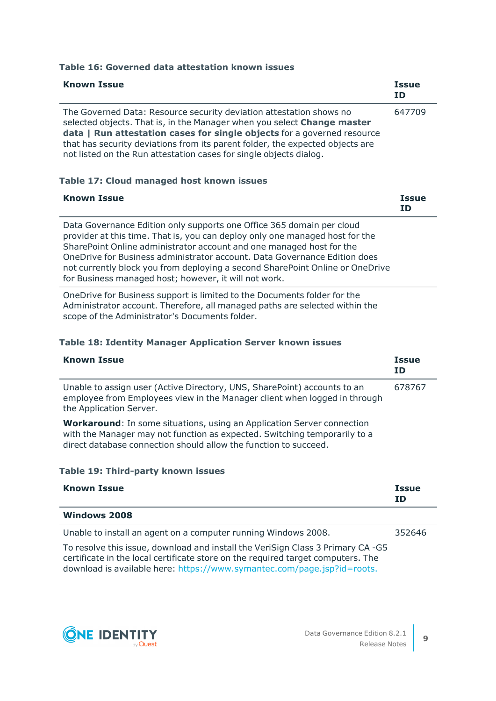| <b>Known Issue</b>                                                                                                                                                                                                                                                                                                                                                               | <b>Issue</b><br>ΙD |
|----------------------------------------------------------------------------------------------------------------------------------------------------------------------------------------------------------------------------------------------------------------------------------------------------------------------------------------------------------------------------------|--------------------|
| The Governed Data: Resource security deviation attestation shows no<br>selected objects. That is, in the Manager when you select Change master<br>data   Run attestation cases for single objects for a governed resource<br>that has security deviations from its parent folder, the expected objects are<br>not listed on the Run attestation cases for single objects dialog. | 647709             |

#### **Table 16: Governed data attestation known issues**

#### **Table 17: Cloud managed host known issues**

| <b>Known Issue</b>                                                                                                                                                                                                                                                                                                                                                                                                                                   | <b>Issue</b><br>ID |
|------------------------------------------------------------------------------------------------------------------------------------------------------------------------------------------------------------------------------------------------------------------------------------------------------------------------------------------------------------------------------------------------------------------------------------------------------|--------------------|
| Data Governance Edition only supports one Office 365 domain per cloud<br>provider at this time. That is, you can deploy only one managed host for the<br>SharePoint Online administrator account and one managed host for the<br>OneDrive for Business administrator account. Data Governance Edition does<br>not currently block you from deploying a second SharePoint Online or OneDrive<br>for Business managed host; however, it will not work. |                    |

OneDrive for Business support is limited to the Documents folder for the Administrator account. Therefore, all managed paths are selected within the scope of the Administrator's Documents folder.

#### **Table 18: Identity Manager Application Server known issues**

| <b>Known Issue</b>                                                                                                                                                                                                             | <b>Issue</b><br>ΙD |
|--------------------------------------------------------------------------------------------------------------------------------------------------------------------------------------------------------------------------------|--------------------|
| Unable to assign user (Active Directory, UNS, SharePoint) accounts to an<br>employee from Employees view in the Manager client when logged in through<br>the Application Server.                                               | 678767             |
| <b>Workaround:</b> In some situations, using an Application Server connection<br>with the Manager may not function as expected. Switching temporarily to a<br>direct database connection should allow the function to succeed. |                    |
| <b>Table 19: Third-party known issues</b>                                                                                                                                                                                      |                    |

| <b>Known Issue</b>  | <b>Issue</b><br>ID |
|---------------------|--------------------|
| <b>Windows 2008</b> |                    |

Unable to install an agent on a computer running Windows 2008. 352646

To resolve this issue, download and install the VeriSign Class 3 Primary CA -G5 certificate in the local certificate store on the required target computers. The download is available here: [https://www.symantec.com/page.jsp?id=roots.](https://www.symantec.com/page.jsp?id=roots)

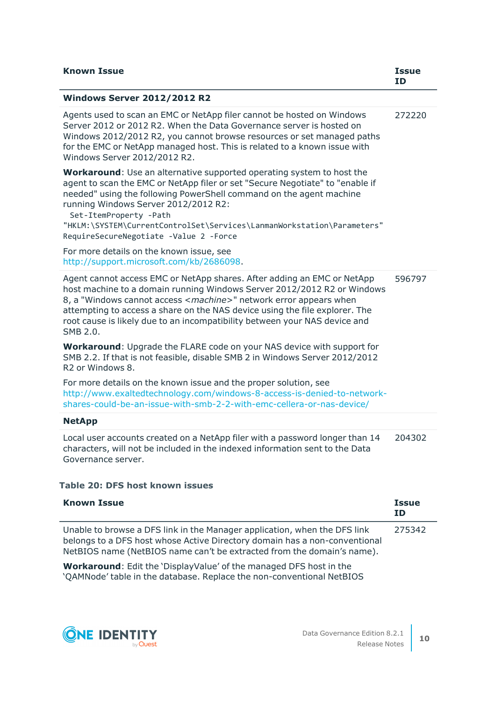| <b>Known Issue</b>                                                                                                                                                                                                                                                                                                                                                                                                         | Issue<br><b>TD</b> |
|----------------------------------------------------------------------------------------------------------------------------------------------------------------------------------------------------------------------------------------------------------------------------------------------------------------------------------------------------------------------------------------------------------------------------|--------------------|
| <b>Windows Server 2012/2012 R2</b>                                                                                                                                                                                                                                                                                                                                                                                         |                    |
| Agents used to scan an EMC or NetApp filer cannot be hosted on Windows<br>Server 2012 or 2012 R2. When the Data Governance server is hosted on<br>Windows 2012/2012 R2, you cannot browse resources or set managed paths<br>for the EMC or NetApp managed host. This is related to a known issue with<br>Windows Server 2012/2012 R2.                                                                                      | 272220             |
| <b>Workaround:</b> Use an alternative supported operating system to host the<br>agent to scan the EMC or NetApp filer or set "Secure Negotiate" to "enable if<br>needed" using the following PowerShell command on the agent machine<br>running Windows Server 2012/2012 R2:<br>Set-ItemProperty -Path<br>"HKLM:\SYSTEM\CurrentControlSet\Services\LanmanWorkstation\Parameters"<br>RequireSecureNegotiate -Value 2 -Force |                    |
| For more details on the known issue, see<br>http://support.microsoft.com/kb/2686098.                                                                                                                                                                                                                                                                                                                                       |                    |
| Agent cannot access EMC or NetApp shares. After adding an EMC or NetApp<br>host machine to a domain running Windows Server 2012/2012 R2 or Windows<br>8, a "Windows cannot access <machine>" network error appears when<br/>attempting to access a share on the NAS device using the file explorer. The<br/>root cause is likely due to an incompatibility between your NAS device and<br/>SMB 2.0.</machine>              | 596797             |
| Workaround: Upgrade the FLARE code on your NAS device with support for<br>SMB 2.2. If that is not feasible, disable SMB 2 in Windows Server 2012/2012<br>R <sub>2</sub> or Windows 8.                                                                                                                                                                                                                                      |                    |
| For more details on the known issue and the proper solution, see<br>http://www.exaltedtechnology.com/windows-8-access-is-denied-to-network-<br>shares-could-be-an-issue-with-smb-2-2-with-emc-cellera-or-nas-device/                                                                                                                                                                                                       |                    |
| <b>NetApp</b>                                                                                                                                                                                                                                                                                                                                                                                                              |                    |
| Local user accounts created on a NetApp filer with a password longer than 14<br>characters, will not be included in the indexed information sent to the Data<br>Governance server.                                                                                                                                                                                                                                         | 204302             |

### **Table 20: DFS host known issues**

| <b>Known Issue</b>                                                                                                                                                                                                                | <b>Issue</b><br>ΙD |
|-----------------------------------------------------------------------------------------------------------------------------------------------------------------------------------------------------------------------------------|--------------------|
| Unable to browse a DFS link in the Manager application, when the DFS link<br>belongs to a DFS host whose Active Directory domain has a non-conventional<br>NetBIOS name (NetBIOS name can't be extracted from the domain's name). | 275342             |
| Workaround: Edit the 'Display/alue' of the managed DES best in the                                                                                                                                                                |                    |

**Workaround**: Edit the 'DisplayValue' of the managed DFS host in the 'QAMNode' table in the database. Replace the non-conventional NetBIOS

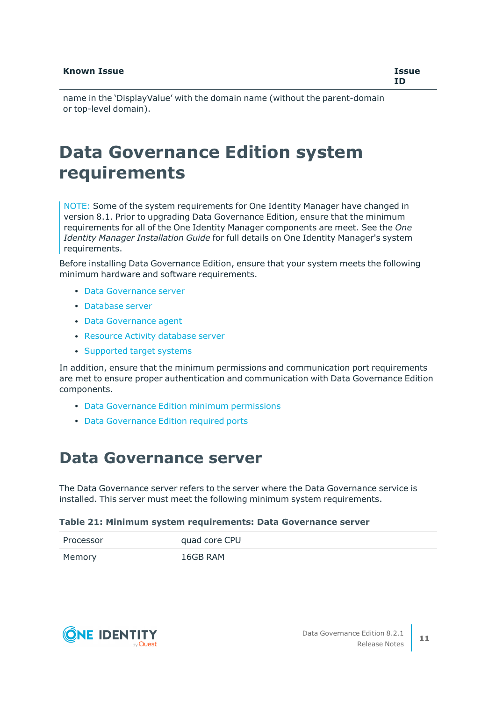name in the 'DisplayValue' with the domain name (without the parent-domain or top-level domain).

## **Data Governance Edition system requirements**

NOTE: Some of the system requirements for One Identity Manager have changed in version 8.1. Prior to upgrading Data Governance Edition, ensure that the minimum requirements for all of the One Identity Manager components are meet. See the *One Identity Manager Installation Guide* for full details on One Identity Manager's system requirements.

Before installing Data Governance Edition, ensure that your system meets the following minimum hardware and software requirements.

- Data [Governance](#page-10-0) server
- [Database](#page-11-0) server
- Data [Governance](#page-16-0) agent
- [Resource](#page-17-1) Activity database server
- [Supported](#page-17-0) target systems

In addition, ensure that the minimum permissions and communication port requirements are met to ensure proper authentication and communication with Data Governance Edition components.

- Data [Governance](#page-21-0) Edition minimum permissions
- Data [Governance](#page-23-0) Edition required ports

### <span id="page-10-0"></span>**Data Governance server**

The Data Governance server refers to the server where the Data Governance service is installed. This server must meet the following minimum system requirements.

#### **Table 21: Minimum system requirements: Data Governance server**

| Processor | quad core CPU |
|-----------|---------------|
| Memory    | 16GB RAM      |

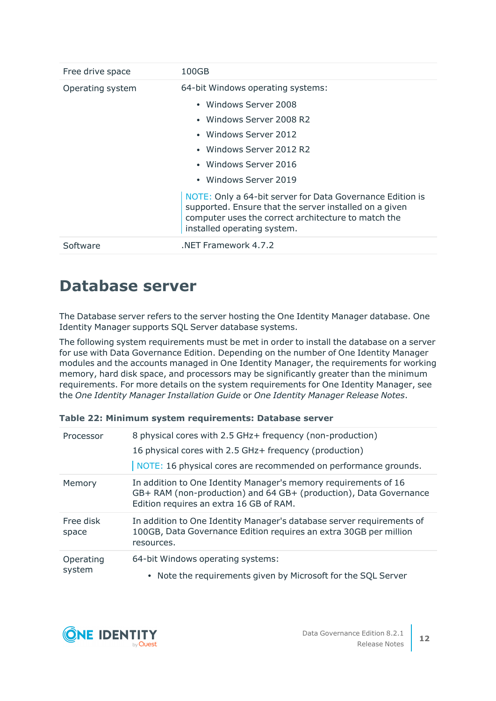| Free drive space | 100GB                                                                                                                                                                                                     |
|------------------|-----------------------------------------------------------------------------------------------------------------------------------------------------------------------------------------------------------|
| Operating system | 64-bit Windows operating systems:                                                                                                                                                                         |
|                  | • Windows Server 2008                                                                                                                                                                                     |
|                  | • Windows Server 2008 R2                                                                                                                                                                                  |
|                  | • Windows Server 2012                                                                                                                                                                                     |
|                  | • Windows Server 2012 R2                                                                                                                                                                                  |
|                  | • Windows Server 2016                                                                                                                                                                                     |
|                  | • Windows Server 2019                                                                                                                                                                                     |
|                  | NOTE: Only a 64-bit server for Data Governance Edition is<br>supported. Ensure that the server installed on a given<br>computer uses the correct architecture to match the<br>installed operating system. |
| Software         | NET Framework 4.7.2                                                                                                                                                                                       |

### <span id="page-11-0"></span>**Database server**

The Database server refers to the server hosting the One Identity Manager database. One Identity Manager supports SQL Server database systems.

The following system requirements must be met in order to install the database on a server for use with Data Governance Edition. Depending on the number of One Identity Manager modules and the accounts managed in One Identity Manager, the requirements for working memory, hard disk space, and processors may be significantly greater than the minimum requirements. For more details on the system requirements for One Identity Manager, see the *One Identity Manager Installation Guide* or *One Identity Manager Release Notes*.

| Processor           | 8 physical cores with 2.5 GHz+ frequency (non-production)<br>16 physical cores with 2.5 GHz+ frequency (production)<br>NOTE: 16 physical cores are recommended on performance grounds. |
|---------------------|----------------------------------------------------------------------------------------------------------------------------------------------------------------------------------------|
| Memory              | In addition to One Identity Manager's memory requirements of 16<br>GB+ RAM (non-production) and 64 GB+ (production), Data Governance<br>Edition requires an extra 16 GB of RAM.        |
| Free disk<br>space  | In addition to One Identity Manager's database server requirements of<br>100GB, Data Governance Edition requires an extra 30GB per million<br>resources.                               |
| Operating<br>system | 64-bit Windows operating systems:<br>Note the requirements given by Microsoft for the SQL Server                                                                                       |

| Table 22: Minimum system requirements: Database server |  |  |  |  |
|--------------------------------------------------------|--|--|--|--|
|--------------------------------------------------------|--|--|--|--|

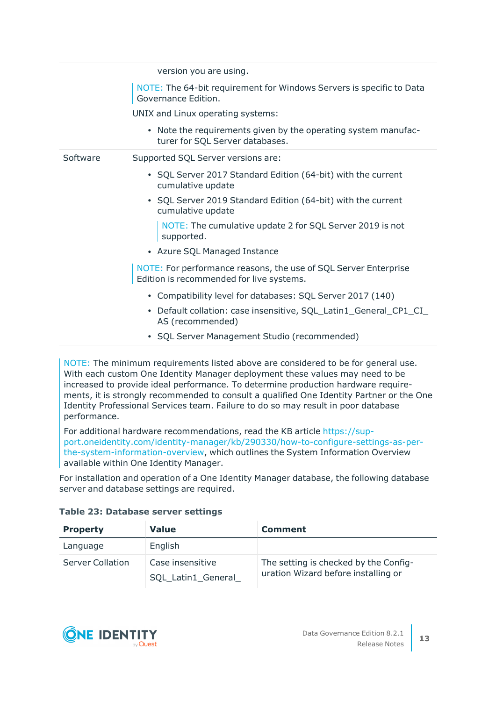version you are using. NOTE: The 64-bit requirement for Windows Servers is specific to Data Governance Edition. UNIX and Linux operating systems: • Note the requirements given by the operating system manufacturer for SQL Server databases. Software Supported SQL Server versions are: • SQL Server 2017 Standard Edition (64-bit) with the current cumulative update • SQL Server 2019 Standard Edition (64-bit) with the current cumulative update NOTE: The cumulative update 2 for SQL Server 2019 is not supported. • Azure SQL Managed Instance NOTE: For performance reasons, the use of SQL Server Enterprise Edition is recommended for live systems. • Compatibility level for databases: SQL Server 2017 (140) • Default collation: case insensitive, SQL\_Latin1\_General\_CP1\_CI\_ AS (recommended) • SQL Server Management Studio (recommended)

NOTE: The minimum requirements listed above are considered to be for general use. With each custom One Identity Manager deployment these values may need to be increased to provide ideal performance. To determine production hardware requirements, it is strongly recommended to consult a qualified One Identity Partner or the One Identity Professional Services team. Failure to do so may result in poor database performance.

For additional hardware recommendations, read the KB article [https://sup](https://sup-port.oneidentity.com/identity-manager/kb/290330/how-to-configure-settings-as-per-the-system-information-overview)[port.oneidentity.com/identity-manager/kb/290330/how-to-configure-settings-as-per](https://sup-port.oneidentity.com/identity-manager/kb/290330/how-to-configure-settings-as-per-the-system-information-overview)[the-system-information-overview](https://sup-port.oneidentity.com/identity-manager/kb/290330/how-to-configure-settings-as-per-the-system-information-overview), which outlines the System Information Overview available within One Identity Manager.

For installation and operation of a One Identity Manager database, the following database server and database settings are required.

| <b>Property</b>         | <b>Value</b>                            | <b>Comment</b>                                                               |
|-------------------------|-----------------------------------------|------------------------------------------------------------------------------|
| Language                | English                                 |                                                                              |
| <b>Server Collation</b> | Case insensitive<br>SQL_Latin1_General_ | The setting is checked by the Config-<br>uration Wizard before installing or |

#### **Table 23: Database server settings**

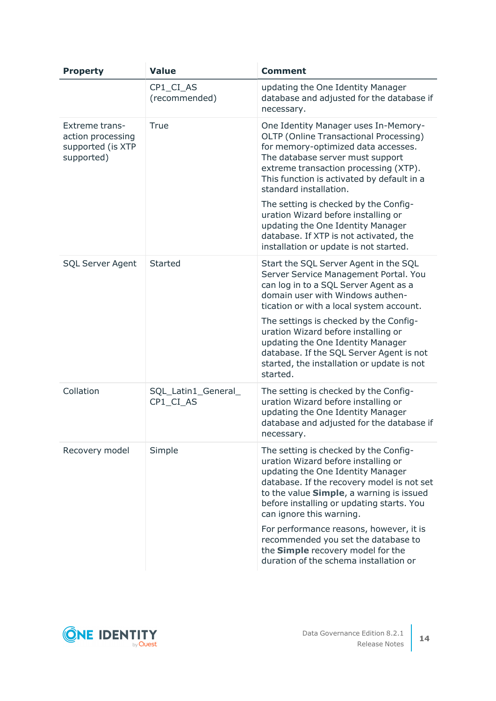| <b>Property</b>                                                               | <b>Value</b>                     | <b>Comment</b>                                                                                                                                                                                                                                                                                                                                                                                                                                                                      |
|-------------------------------------------------------------------------------|----------------------------------|-------------------------------------------------------------------------------------------------------------------------------------------------------------------------------------------------------------------------------------------------------------------------------------------------------------------------------------------------------------------------------------------------------------------------------------------------------------------------------------|
|                                                                               | CP1_CI_AS<br>(recommended)       | updating the One Identity Manager<br>database and adjusted for the database if<br>necessary.                                                                                                                                                                                                                                                                                                                                                                                        |
| <b>Extreme trans-</b><br>action processing<br>supported (is XTP<br>supported) | True                             | One Identity Manager uses In-Memory-<br>OLTP (Online Transactional Processing)<br>for memory-optimized data accesses.<br>The database server must support<br>extreme transaction processing (XTP).<br>This function is activated by default in a<br>standard installation.<br>The setting is checked by the Config-<br>uration Wizard before installing or<br>updating the One Identity Manager<br>database. If XTP is not activated, the<br>installation or update is not started. |
| <b>SQL Server Agent</b>                                                       | Started                          | Start the SQL Server Agent in the SQL<br>Server Service Management Portal. You<br>can log in to a SQL Server Agent as a<br>domain user with Windows authen-<br>tication or with a local system account.<br>The settings is checked by the Config-<br>uration Wizard before installing or<br>updating the One Identity Manager<br>database. If the SQL Server Agent is not<br>started, the installation or update is not<br>started.                                                 |
| Collation                                                                     | SQL_Latin1_General_<br>CP1_CI_AS | The setting is checked by the Config-<br>uration Wizard before installing or<br>updating the One Identity Manager<br>database and adjusted for the database if<br>necessary.                                                                                                                                                                                                                                                                                                        |
| Recovery model                                                                | Simple                           | The setting is checked by the Config-<br>uration Wizard before installing or<br>updating the One Identity Manager<br>database. If the recovery model is not set<br>to the value Simple, a warning is issued<br>before installing or updating starts. You<br>can ignore this warning.<br>For performance reasons, however, it is<br>recommended you set the database to                                                                                                              |
|                                                                               |                                  | the Simple recovery model for the<br>duration of the schema installation or                                                                                                                                                                                                                                                                                                                                                                                                         |

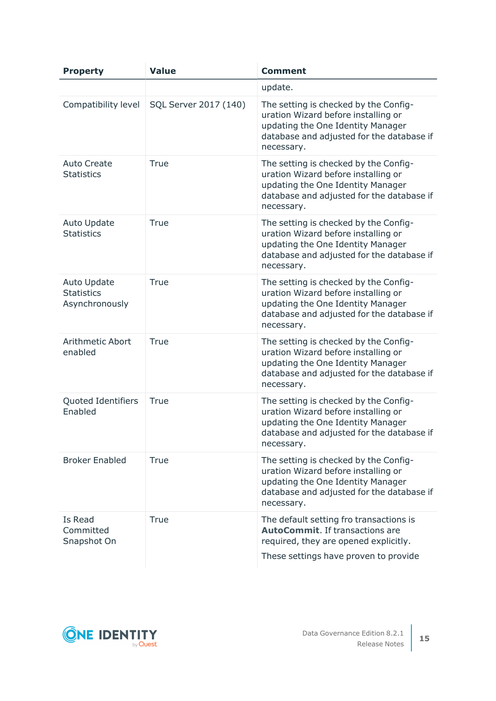| <b>Property</b>                                           | <b>Value</b>          | <b>Comment</b>                                                                                                                                                               |
|-----------------------------------------------------------|-----------------------|------------------------------------------------------------------------------------------------------------------------------------------------------------------------------|
|                                                           |                       | update.                                                                                                                                                                      |
| Compatibility level                                       | SQL Server 2017 (140) | The setting is checked by the Config-<br>uration Wizard before installing or<br>updating the One Identity Manager<br>database and adjusted for the database if<br>necessary. |
| <b>Auto Create</b><br><b>Statistics</b>                   | True                  | The setting is checked by the Config-<br>uration Wizard before installing or<br>updating the One Identity Manager<br>database and adjusted for the database if<br>necessary. |
| <b>Auto Update</b><br><b>Statistics</b>                   | True                  | The setting is checked by the Config-<br>uration Wizard before installing or<br>updating the One Identity Manager<br>database and adjusted for the database if<br>necessary. |
| <b>Auto Update</b><br><b>Statistics</b><br>Asynchronously | True                  | The setting is checked by the Config-<br>uration Wizard before installing or<br>updating the One Identity Manager<br>database and adjusted for the database if<br>necessary. |
| Arithmetic Abort<br>enabled                               | True                  | The setting is checked by the Config-<br>uration Wizard before installing or<br>updating the One Identity Manager<br>database and adjusted for the database if<br>necessary. |
| Quoted Identifiers<br>Enabled                             | True                  | The setting is checked by the Config-<br>uration Wizard before installing or<br>updating the One Identity Manager<br>database and adjusted for the database if<br>necessary. |
| <b>Broker Enabled</b>                                     | True                  | The setting is checked by the Config-<br>uration Wizard before installing or<br>updating the One Identity Manager<br>database and adjusted for the database if<br>necessary. |
| Is Read<br>Committed<br>Snapshot On                       | True                  | The default setting fro transactions is<br><b>AutoCommit.</b> If transactions are<br>required, they are opened explicitly.                                                   |
|                                                           |                       | These settings have proven to provide                                                                                                                                        |

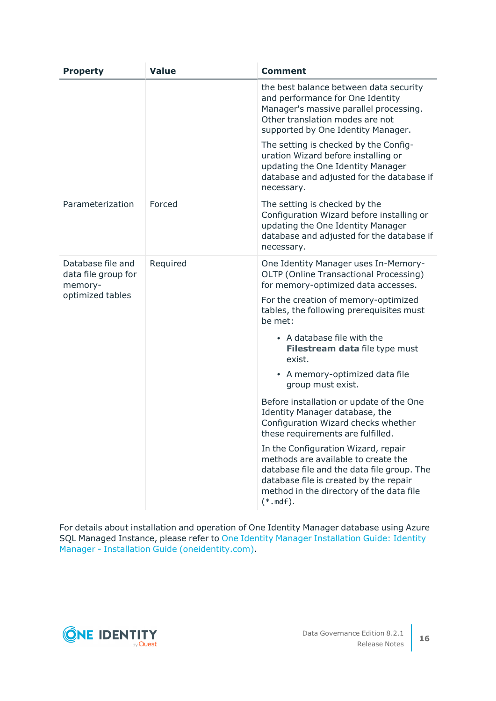| <b>Property</b>                                                         | <b>Value</b> | <b>Comment</b>                                                                                                                                                                                                                                                                                                                                                                                                                                                                                                                                                                                                                                                                                                                                   |
|-------------------------------------------------------------------------|--------------|--------------------------------------------------------------------------------------------------------------------------------------------------------------------------------------------------------------------------------------------------------------------------------------------------------------------------------------------------------------------------------------------------------------------------------------------------------------------------------------------------------------------------------------------------------------------------------------------------------------------------------------------------------------------------------------------------------------------------------------------------|
|                                                                         |              | the best balance between data security<br>and performance for One Identity<br>Manager's massive parallel processing.<br>Other translation modes are not<br>supported by One Identity Manager.<br>The setting is checked by the Config-<br>uration Wizard before installing or<br>updating the One Identity Manager<br>database and adjusted for the database if<br>necessary.                                                                                                                                                                                                                                                                                                                                                                    |
| Parameterization                                                        | Forced       | The setting is checked by the<br>Configuration Wizard before installing or<br>updating the One Identity Manager<br>database and adjusted for the database if<br>necessary.                                                                                                                                                                                                                                                                                                                                                                                                                                                                                                                                                                       |
| Database file and<br>data file group for<br>memory-<br>optimized tables | Required     | One Identity Manager uses In-Memory-<br>OLTP (Online Transactional Processing)<br>for memory-optimized data accesses.<br>For the creation of memory-optimized<br>tables, the following prerequisites must<br>be met:<br>• A database file with the<br>Filestream data file type must<br>exist.<br>• A memory-optimized data file<br>group must exist.<br>Before installation or update of the One<br>Identity Manager database, the<br>Configuration Wizard checks whether<br>these requirements are fulfilled.<br>In the Configuration Wizard, repair<br>methods are available to create the<br>database file and the data file group. The<br>database file is created by the repair<br>method in the directory of the data file<br>$(*.$ mdf). |

For details about installation and operation of One Identity Manager database using Azure SQL Managed Instance, please refer to One Identity Manager [Installation](https://support.oneidentity.com/technical-documents/identity-manager/8.2/installation-guide) Guide: Identity Manager - Installation Guide [\(oneidentity.com\)](https://support.oneidentity.com/technical-documents/identity-manager/8.2/installation-guide).

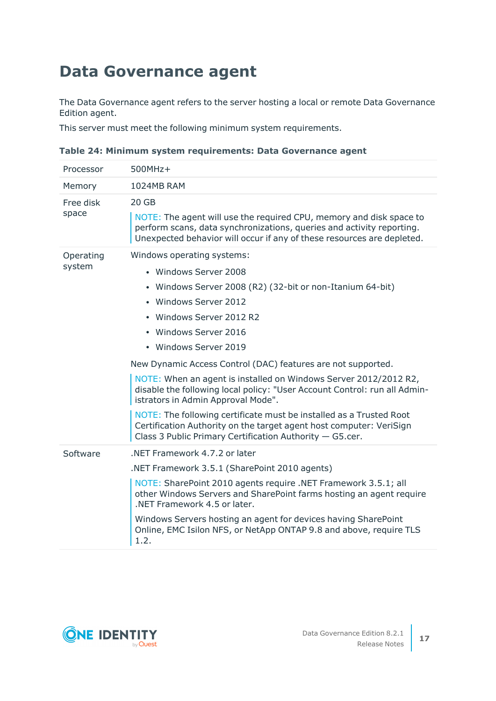### <span id="page-16-0"></span>**Data Governance agent**

The Data Governance agent refers to the server hosting a local or remote Data Governance Edition agent.

This server must meet the following minimum system requirements.

| Processor           | 500MHz+                                                                                                                                                                                                                                                                                                                                                                                                                                                                                                                                                                                                                                                                                  |
|---------------------|------------------------------------------------------------------------------------------------------------------------------------------------------------------------------------------------------------------------------------------------------------------------------------------------------------------------------------------------------------------------------------------------------------------------------------------------------------------------------------------------------------------------------------------------------------------------------------------------------------------------------------------------------------------------------------------|
| Memory              | <b>1024MB RAM</b>                                                                                                                                                                                                                                                                                                                                                                                                                                                                                                                                                                                                                                                                        |
| Free disk<br>space  | 20 GB<br>NOTE: The agent will use the required CPU, memory and disk space to<br>perform scans, data synchronizations, queries and activity reporting.<br>Unexpected behavior will occur if any of these resources are depleted.                                                                                                                                                                                                                                                                                                                                                                                                                                                          |
| Operating<br>system | Windows operating systems:<br>• Windows Server 2008<br>• Windows Server 2008 (R2) (32-bit or non-Itanium 64-bit)<br>• Windows Server 2012<br>• Windows Server 2012 R2<br>• Windows Server 2016<br>• Windows Server 2019<br>New Dynamic Access Control (DAC) features are not supported.<br>NOTE: When an agent is installed on Windows Server 2012/2012 R2,<br>disable the following local policy: "User Account Control: run all Admin-<br>istrators in Admin Approval Mode".<br>NOTE: The following certificate must be installed as a Trusted Root<br>Certification Authority on the target agent host computer: VeriSign<br>Class 3 Public Primary Certification Authority - G5.cer. |
| Software            | .NET Framework 4.7.2 or later<br>.NET Framework 3.5.1 (SharePoint 2010 agents)<br>NOTE: SharePoint 2010 agents require .NET Framework 3.5.1; all<br>other Windows Servers and SharePoint farms hosting an agent require<br>.NET Framework 4.5 or later.<br>Windows Servers hosting an agent for devices having SharePoint<br>Online, EMC Isilon NFS, or NetApp ONTAP 9.8 and above, require TLS<br>1.2.                                                                                                                                                                                                                                                                                  |

**Table 24: Minimum system requirements: Data Governance agent**

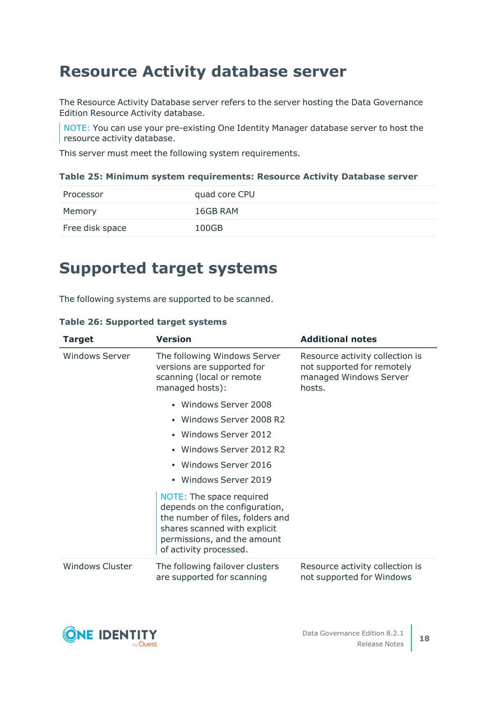### <span id="page-17-1"></span>**Resource Activity database server**

The Resource Activity Database server refers to the server hosting the Data Governance Edition Resource Activity database.

NOTE: You can use your pre-existing One Identity Manager database server to host the resource activity database.

This server must meet the following system requirements.

#### **Table 25: Minimum system requirements: Resource Activity Database server**

| Processor       | quad core CPU |
|-----------------|---------------|
| Memory          | 16GB RAM      |
| Free disk space | 100GB         |

### <span id="page-17-0"></span>**Supported target systems**

The following systems are supported to be scanned.

| <b>Target</b>          | <b>Version</b>                                                                                                                                                                         | <b>Additional notes</b>                                                                           |
|------------------------|----------------------------------------------------------------------------------------------------------------------------------------------------------------------------------------|---------------------------------------------------------------------------------------------------|
| <b>Windows Server</b>  | The following Windows Server<br>versions are supported for<br>scanning (local or remote<br>managed hosts):                                                                             | Resource activity collection is<br>not supported for remotely<br>managed Windows Server<br>hosts. |
|                        | Windows Server 2008<br>$\bullet$                                                                                                                                                       |                                                                                                   |
|                        | Windows Server 2008 R2<br>$\bullet$                                                                                                                                                    |                                                                                                   |
|                        | Windows Server 2012<br>$\bullet$                                                                                                                                                       |                                                                                                   |
|                        | Windows Server 2012 R2<br>$\bullet$                                                                                                                                                    |                                                                                                   |
|                        | Windows Server 2016<br>$\bullet$                                                                                                                                                       |                                                                                                   |
|                        | Windows Server 2019<br>$\bullet$                                                                                                                                                       |                                                                                                   |
|                        | NOTE: The space required<br>depends on the configuration,<br>the number of files, folders and<br>shares scanned with explicit<br>permissions, and the amount<br>of activity processed. |                                                                                                   |
| <b>Windows Cluster</b> | The following failover clusters<br>are supported for scanning                                                                                                                          | Resource activity collection is<br>not supported for Windows                                      |

#### **Table 26: Supported target systems**

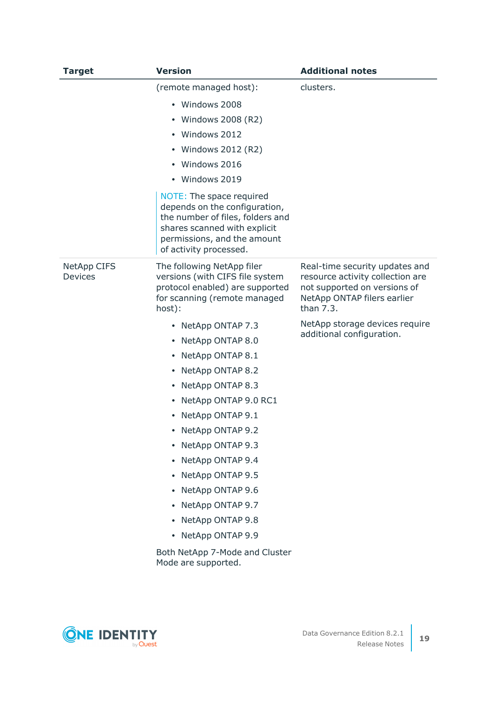| <b>Target</b>                        | <b>Version</b>                                                                                                                                                                         | <b>Additional notes</b>                                                                                                                        |
|--------------------------------------|----------------------------------------------------------------------------------------------------------------------------------------------------------------------------------------|------------------------------------------------------------------------------------------------------------------------------------------------|
|                                      | (remote managed host):                                                                                                                                                                 | clusters.                                                                                                                                      |
|                                      | • Windows 2008                                                                                                                                                                         |                                                                                                                                                |
|                                      | Windows 2008 (R2)                                                                                                                                                                      |                                                                                                                                                |
|                                      | Windows 2012                                                                                                                                                                           |                                                                                                                                                |
|                                      | Windows 2012 (R2)<br>٠                                                                                                                                                                 |                                                                                                                                                |
|                                      | Windows 2016                                                                                                                                                                           |                                                                                                                                                |
|                                      | • Windows 2019                                                                                                                                                                         |                                                                                                                                                |
|                                      | NOTE: The space required<br>depends on the configuration,<br>the number of files, folders and<br>shares scanned with explicit<br>permissions, and the amount<br>of activity processed. |                                                                                                                                                |
| <b>NetApp CIFS</b><br><b>Devices</b> | The following NetApp filer<br>versions (with CIFS file system<br>protocol enabled) are supported<br>for scanning (remote managed<br>host):                                             | Real-time security updates and<br>resource activity collection are<br>not supported on versions of<br>NetApp ONTAP filers earlier<br>than 7.3. |
|                                      | • NetApp ONTAP 7.3                                                                                                                                                                     | NetApp storage devices require                                                                                                                 |
|                                      | NetApp ONTAP 8.0<br>٠                                                                                                                                                                  | additional configuration.                                                                                                                      |
|                                      | NetApp ONTAP 8.1<br>٠                                                                                                                                                                  |                                                                                                                                                |
|                                      | NetApp ONTAP 8.2<br>٠                                                                                                                                                                  |                                                                                                                                                |
|                                      | NetApp ONTAP 8.3<br>٠                                                                                                                                                                  |                                                                                                                                                |
|                                      | NetApp ONTAP 9.0 RC1<br>٠                                                                                                                                                              |                                                                                                                                                |
|                                      | NetApp ONTAP 9.1<br>٠                                                                                                                                                                  |                                                                                                                                                |
|                                      | NetApp ONTAP 9.2<br>٠                                                                                                                                                                  |                                                                                                                                                |
|                                      | NetApp ONTAP 9.3                                                                                                                                                                       |                                                                                                                                                |
|                                      | NetApp ONTAP 9.4<br>٠                                                                                                                                                                  |                                                                                                                                                |
|                                      | NetApp ONTAP 9.5                                                                                                                                                                       |                                                                                                                                                |
|                                      | NetApp ONTAP 9.6<br>٠                                                                                                                                                                  |                                                                                                                                                |
|                                      | NetApp ONTAP 9.7                                                                                                                                                                       |                                                                                                                                                |
|                                      | NetApp ONTAP 9.8<br>٠                                                                                                                                                                  |                                                                                                                                                |
|                                      | NetApp ONTAP 9.9                                                                                                                                                                       |                                                                                                                                                |
|                                      | Both NetApp 7-Mode and Cluster<br>Mode are supported.                                                                                                                                  |                                                                                                                                                |

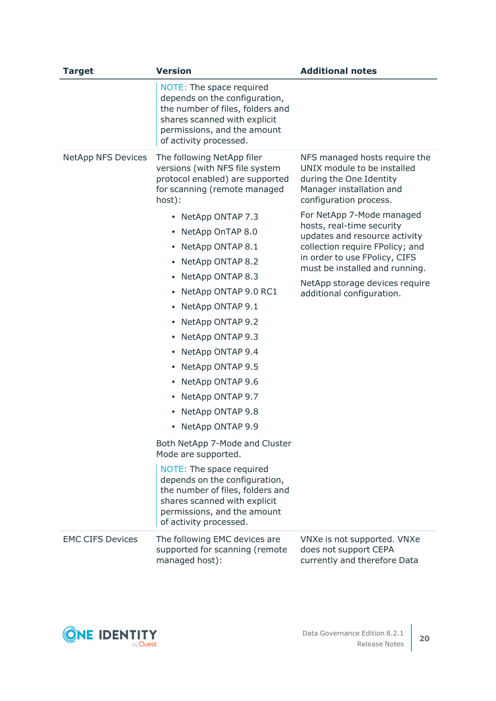| <b>Target</b>             | <b>Version</b>                                                                                                                                                                                                                                                                                                                                                                                                                                                                                                                    | <b>Additional notes</b>                                                                                                                                                                                                                                      |
|---------------------------|-----------------------------------------------------------------------------------------------------------------------------------------------------------------------------------------------------------------------------------------------------------------------------------------------------------------------------------------------------------------------------------------------------------------------------------------------------------------------------------------------------------------------------------|--------------------------------------------------------------------------------------------------------------------------------------------------------------------------------------------------------------------------------------------------------------|
|                           | NOTE: The space required<br>depends on the configuration,<br>the number of files, folders and<br>shares scanned with explicit<br>permissions, and the amount<br>of activity processed.                                                                                                                                                                                                                                                                                                                                            |                                                                                                                                                                                                                                                              |
| <b>NetApp NFS Devices</b> | The following NetApp filer<br>versions (with NFS file system<br>protocol enabled) are supported<br>for scanning (remote managed<br>host):                                                                                                                                                                                                                                                                                                                                                                                         | NFS managed hosts require the<br>UNIX module to be installed<br>during the One Identity<br>Manager installation and<br>configuration process.                                                                                                                |
|                           | • NetApp ONTAP 7.3<br>NetApp OnTAP 8.0<br>NetApp ONTAP 8.1<br>NetApp ONTAP 8.2<br>٠<br>NetApp ONTAP 8.3<br>NetApp ONTAP 9.0 RC1<br>٠<br>NetApp ONTAP 9.1<br>NetApp ONTAP 9.2<br>NetApp ONTAP 9.3<br>NetApp ONTAP 9.4<br>٠<br>NetApp ONTAP 9.5<br>NetApp ONTAP 9.6<br>٠<br>NetApp ONTAP 9.7<br>NetApp ONTAP 9.8<br>٠<br>NetApp ONTAP 9.9<br>Both NetApp 7-Mode and Cluster<br>Mode are supported.<br>NOTE: The space required<br>depends on the configuration,<br>the number of files, folders and<br>shares scanned with explicit | For NetApp 7-Mode managed<br>hosts, real-time security<br>updates and resource activity<br>collection require FPolicy; and<br>in order to use FPolicy, CIFS<br>must be installed and running.<br>NetApp storage devices require<br>additional configuration. |
|                           | permissions, and the amount<br>of activity processed.                                                                                                                                                                                                                                                                                                                                                                                                                                                                             |                                                                                                                                                                                                                                                              |
| <b>EMC CIFS Devices</b>   | The following EMC devices are<br>supported for scanning (remote<br>managed host):                                                                                                                                                                                                                                                                                                                                                                                                                                                 | VNXe is not supported. VNXe<br>does not support CEPA<br>currently and therefore Data                                                                                                                                                                         |

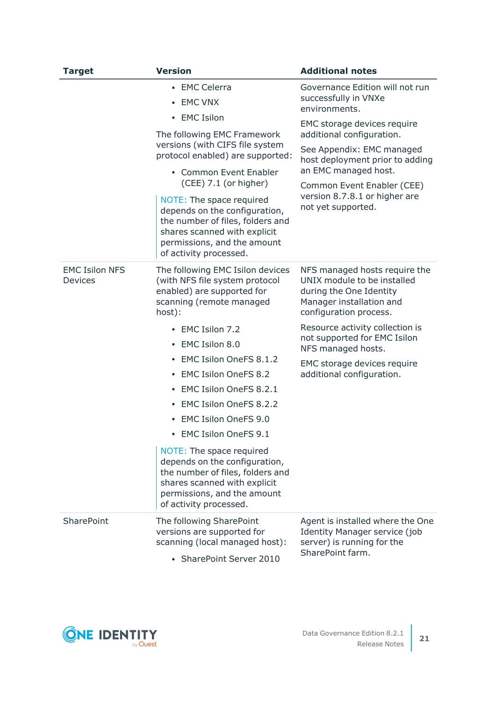| <b>Version</b><br><b>Target</b>         |                                                                                                                                                                                        | <b>Additional notes</b>                                                                                                                       |  |
|-----------------------------------------|----------------------------------------------------------------------------------------------------------------------------------------------------------------------------------------|-----------------------------------------------------------------------------------------------------------------------------------------------|--|
|                                         | • EMC Celerra<br><b>EMC VNX</b><br>$\bullet$                                                                                                                                           | Governance Edition will not run<br>successfully in VNXe<br>environments.                                                                      |  |
|                                         | • EMC Isilon                                                                                                                                                                           | EMC storage devices require                                                                                                                   |  |
|                                         | The following EMC Framework<br>versions (with CIFS file system<br>protocol enabled) are supported:                                                                                     | additional configuration.<br>See Appendix: EMC managed<br>host deployment prior to adding<br>an EMC managed host.                             |  |
|                                         | • Common Event Enabler<br>(CEE) 7.1 (or higher)                                                                                                                                        |                                                                                                                                               |  |
|                                         | NOTE: The space required<br>depends on the configuration,<br>the number of files, folders and<br>shares scanned with explicit<br>permissions, and the amount<br>of activity processed. | Common Event Enabler (CEE)<br>version 8.7.8.1 or higher are<br>not yet supported.                                                             |  |
| <b>EMC Isilon NFS</b><br><b>Devices</b> | The following EMC Isilon devices<br>(with NFS file system protocol<br>enabled) are supported for<br>scanning (remote managed<br>host):                                                 | NFS managed hosts require the<br>UNIX module to be installed<br>during the One Identity<br>Manager installation and<br>configuration process. |  |
|                                         | EMC Isilon 7.2<br>EMC Isilon 8.0<br>٠                                                                                                                                                  | Resource activity collection is<br>not supported for EMC Isilon<br>NFS managed hosts.                                                         |  |
|                                         | EMC Isilon OneFS 8.1.2<br><b>EMC Isilon OneFS 8.2</b><br>٠                                                                                                                             | EMC storage devices require<br>additional configuration.                                                                                      |  |
|                                         | EMC Isilon OneFS 8.2.1                                                                                                                                                                 |                                                                                                                                               |  |
|                                         | EMC Isilon OneFS 8.2.2                                                                                                                                                                 |                                                                                                                                               |  |
|                                         | <b>EMC Isilon OneFS 9.0</b>                                                                                                                                                            |                                                                                                                                               |  |
|                                         | <b>EMC Isilon OneFS 9.1</b><br>٠                                                                                                                                                       |                                                                                                                                               |  |
|                                         | NOTE: The space required<br>depends on the configuration,<br>the number of files, folders and<br>shares scanned with explicit<br>permissions, and the amount<br>of activity processed. |                                                                                                                                               |  |
| <b>SharePoint</b>                       | The following SharePoint<br>versions are supported for<br>scanning (local managed host):<br>• SharePoint Server 2010                                                                   | Agent is installed where the One<br><b>Identity Manager service (job</b><br>server) is running for the<br>SharePoint farm.                    |  |

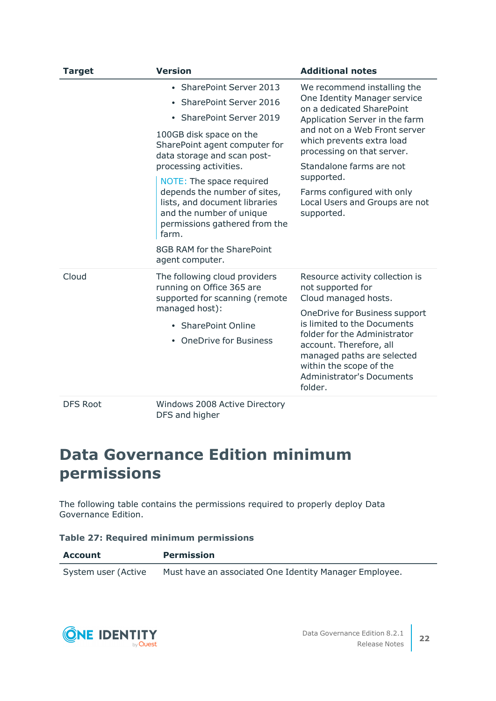| <b>Target</b>   | <b>Version</b>                                                                                                                      | <b>Additional notes</b>                                                                                                         |
|-----------------|-------------------------------------------------------------------------------------------------------------------------------------|---------------------------------------------------------------------------------------------------------------------------------|
|                 | <b>SharePoint Server 2013</b>                                                                                                       | We recommend installing the                                                                                                     |
|                 | • SharePoint Server 2016                                                                                                            | One Identity Manager service<br>on a dedicated SharePoint                                                                       |
|                 | • SharePoint Server 2019                                                                                                            | Application Server in the farm                                                                                                  |
|                 | 100GB disk space on the<br>SharePoint agent computer for<br>data storage and scan post-<br>processing activities.                   | and not on a Web Front server<br>which prevents extra load<br>processing on that server.<br>Standalone farms are not            |
|                 | NOTE: The space required                                                                                                            | supported.                                                                                                                      |
|                 | depends the number of sites,<br>lists, and document libraries<br>and the number of unique<br>permissions gathered from the<br>farm. | Farms configured with only<br>Local Users and Groups are not<br>supported.                                                      |
|                 | 8GB RAM for the SharePoint<br>agent computer.                                                                                       |                                                                                                                                 |
| Cloud           | The following cloud providers<br>running on Office 365 are<br>supported for scanning (remote                                        | Resource activity collection is<br>not supported for<br>Cloud managed hosts.                                                    |
|                 | managed host):                                                                                                                      | OneDrive for Business support<br>is limited to the Documents<br>folder for the Administrator                                    |
|                 | • SharePoint Online                                                                                                                 |                                                                                                                                 |
|                 | • OneDrive for Business                                                                                                             | account. Therefore, all<br>managed paths are selected<br>within the scope of the<br><b>Administrator's Documents</b><br>folder. |
| <b>DFS Root</b> | Windows 2008 Active Directory                                                                                                       |                                                                                                                                 |

### DFS and higher

### <span id="page-21-0"></span>**Data Governance Edition minimum permissions**

The following table contains the permissions required to properly deploy Data Governance Edition.

| <b>Table 27: Required minimum permissions</b> |  |  |  |  |
|-----------------------------------------------|--|--|--|--|
|-----------------------------------------------|--|--|--|--|

| Account             | <b>Permission</b>                                      |
|---------------------|--------------------------------------------------------|
| System user (Active | Must have an associated One Identity Manager Employee. |

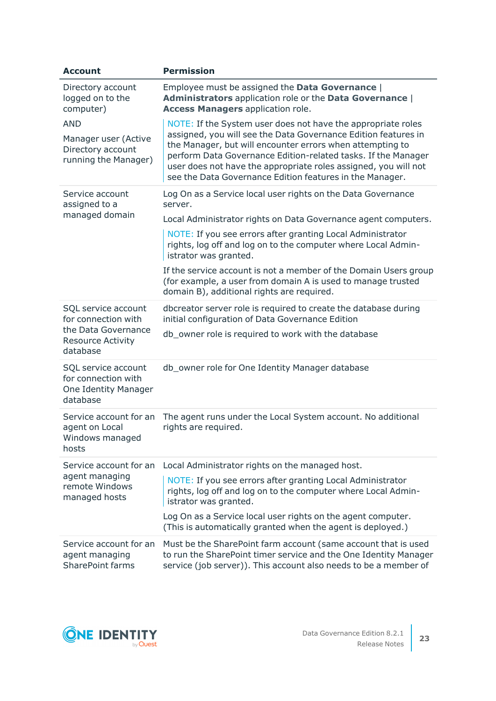| <b>Account</b>                                                                 | <b>Permission</b>                                                                                                                                                                                                                                                                                                           |  |  |
|--------------------------------------------------------------------------------|-----------------------------------------------------------------------------------------------------------------------------------------------------------------------------------------------------------------------------------------------------------------------------------------------------------------------------|--|--|
| Directory account<br>logged on to the<br>computer)                             | Employee must be assigned the Data Governance  <br>Administrators application role or the Data Governance  <br><b>Access Managers application role.</b>                                                                                                                                                                     |  |  |
| <b>AND</b>                                                                     | NOTE: If the System user does not have the appropriate roles                                                                                                                                                                                                                                                                |  |  |
| Manager user (Active<br>Directory account<br>running the Manager)              | assigned, you will see the Data Governance Edition features in<br>the Manager, but will encounter errors when attempting to<br>perform Data Governance Edition-related tasks. If the Manager<br>user does not have the appropriate roles assigned, you will not<br>see the Data Governance Edition features in the Manager. |  |  |
| Service account<br>assigned to a                                               | Log On as a Service local user rights on the Data Governance<br>server.                                                                                                                                                                                                                                                     |  |  |
| managed domain                                                                 | Local Administrator rights on Data Governance agent computers.                                                                                                                                                                                                                                                              |  |  |
|                                                                                | NOTE: If you see errors after granting Local Administrator<br>rights, log off and log on to the computer where Local Admin-<br>istrator was granted.                                                                                                                                                                        |  |  |
|                                                                                | If the service account is not a member of the Domain Users group<br>(for example, a user from domain A is used to manage trusted<br>domain B), additional rights are required.                                                                                                                                              |  |  |
| SQL service account<br>for connection with                                     | dbcreator server role is required to create the database during<br>initial configuration of Data Governance Edition                                                                                                                                                                                                         |  |  |
| the Data Governance<br><b>Resource Activity</b><br>database                    | db_owner role is required to work with the database                                                                                                                                                                                                                                                                         |  |  |
| SQL service account<br>for connection with<br>One Identity Manager<br>database | db_owner role for One Identity Manager database                                                                                                                                                                                                                                                                             |  |  |
| Service account for an<br>agent on Local<br>Windows managed<br>hosts           | The agent runs under the Local System account. No additional<br>rights are required.                                                                                                                                                                                                                                        |  |  |
| Service account for an                                                         | Local Administrator rights on the managed host.                                                                                                                                                                                                                                                                             |  |  |
| agent managing<br>remote Windows<br>managed hosts                              | NOTE: If you see errors after granting Local Administrator<br>rights, log off and log on to the computer where Local Admin-<br>istrator was granted.                                                                                                                                                                        |  |  |
|                                                                                | Log On as a Service local user rights on the agent computer.<br>(This is automatically granted when the agent is deployed.)                                                                                                                                                                                                 |  |  |
| Service account for an<br>agent managing<br><b>SharePoint farms</b>            | Must be the SharePoint farm account (same account that is used<br>to run the SharePoint timer service and the One Identity Manager<br>service (job server)). This account also needs to be a member of                                                                                                                      |  |  |

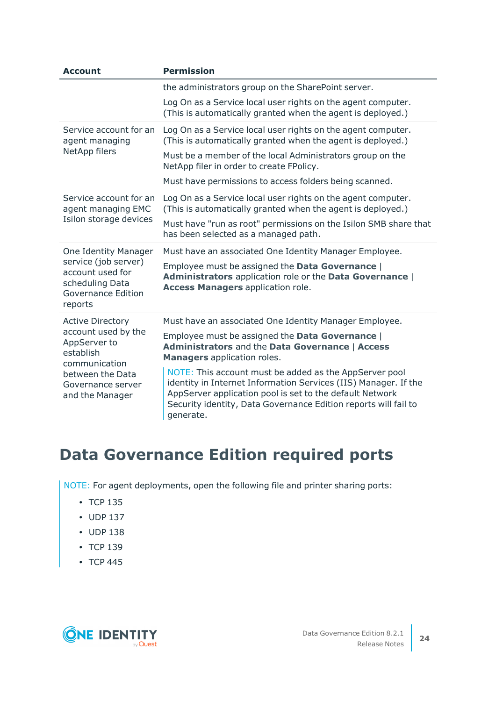| <b>Account</b>                                                                                                   | <b>Permission</b>                                                                                                                                                                                                                                                     |  |  |
|------------------------------------------------------------------------------------------------------------------|-----------------------------------------------------------------------------------------------------------------------------------------------------------------------------------------------------------------------------------------------------------------------|--|--|
|                                                                                                                  | the administrators group on the SharePoint server.                                                                                                                                                                                                                    |  |  |
|                                                                                                                  | Log On as a Service local user rights on the agent computer.<br>(This is automatically granted when the agent is deployed.)                                                                                                                                           |  |  |
| Service account for an<br>agent managing                                                                         | Log On as a Service local user rights on the agent computer.<br>(This is automatically granted when the agent is deployed.)                                                                                                                                           |  |  |
| NetApp filers                                                                                                    | Must be a member of the local Administrators group on the<br>NetApp filer in order to create FPolicy.                                                                                                                                                                 |  |  |
|                                                                                                                  | Must have permissions to access folders being scanned.                                                                                                                                                                                                                |  |  |
| Service account for an<br>agent managing EMC<br>Isilon storage devices                                           | Log On as a Service local user rights on the agent computer.<br>(This is automatically granted when the agent is deployed.)<br>Must have "run as root" permissions on the Isilon SMB share that<br>has been selected as a managed path.                               |  |  |
| One Identity Manager<br>service (job server)<br>account used for<br>scheduling Data<br><b>Governance Edition</b> | Must have an associated One Identity Manager Employee.<br>Employee must be assigned the Data Governance  <br>Administrators application role or the Data Governance  <br><b>Access Managers application role.</b>                                                     |  |  |
| reports                                                                                                          |                                                                                                                                                                                                                                                                       |  |  |
| <b>Active Directory</b><br>account used by the<br>AppServer to<br>establish<br>communication                     | Must have an associated One Identity Manager Employee.<br>Employee must be assigned the Data Governance  <br><b>Administrators and the Data Governance   Access</b><br><b>Managers</b> application roles.                                                             |  |  |
| between the Data<br>Governance server<br>and the Manager                                                         | NOTE: This account must be added as the AppServer pool<br>identity in Internet Information Services (IIS) Manager. If the<br>AppServer application pool is set to the default Network<br>Security identity, Data Governance Edition reports will fail to<br>generate. |  |  |

### <span id="page-23-0"></span>**Data Governance Edition required ports**

NOTE: For agent deployments, open the following file and printer sharing ports:

- $\cdot$  TCP 135
- $\cdot$  UDP 137
- $\cdot$  UDP 138
- $\cdot$  TCP 139
- $\cdot$  TCP 445

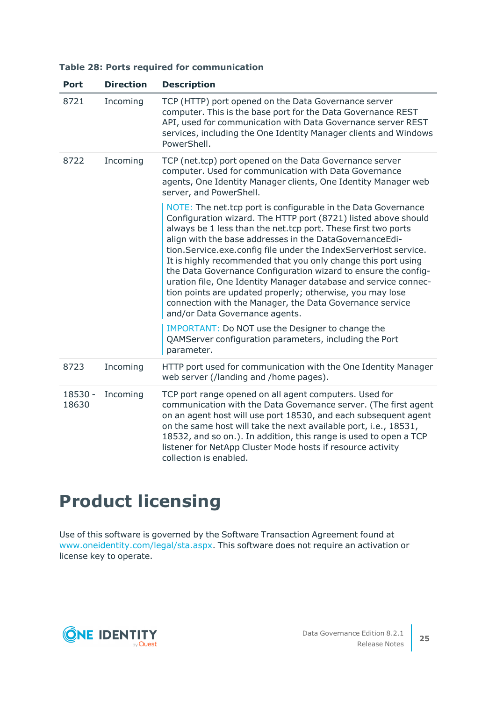|  |  |  |  |  | Table 28: Ports required for communication |
|--|--|--|--|--|--------------------------------------------|
|--|--|--|--|--|--------------------------------------------|

| <b>Port</b>      | <b>Direction</b> | <b>Description</b>                                                                                                                                                                                                                                                                                                                                                                                                                                                                                                                                                                                                                                                                               |
|------------------|------------------|--------------------------------------------------------------------------------------------------------------------------------------------------------------------------------------------------------------------------------------------------------------------------------------------------------------------------------------------------------------------------------------------------------------------------------------------------------------------------------------------------------------------------------------------------------------------------------------------------------------------------------------------------------------------------------------------------|
| 8721             | Incoming         | TCP (HTTP) port opened on the Data Governance server<br>computer. This is the base port for the Data Governance REST<br>API, used for communication with Data Governance server REST<br>services, including the One Identity Manager clients and Windows<br>PowerShell.                                                                                                                                                                                                                                                                                                                                                                                                                          |
| 8722             | Incoming         | TCP (net.tcp) port opened on the Data Governance server<br>computer. Used for communication with Data Governance<br>agents, One Identity Manager clients, One Identity Manager web<br>server, and PowerShell.                                                                                                                                                                                                                                                                                                                                                                                                                                                                                    |
|                  |                  | NOTE: The net.tcp port is configurable in the Data Governance<br>Configuration wizard. The HTTP port (8721) listed above should<br>always be 1 less than the net.tcp port. These first two ports<br>align with the base addresses in the DataGovernanceEdi-<br>tion. Service.exe.config file under the IndexServerHost service.<br>It is highly recommended that you only change this port using<br>the Data Governance Configuration wizard to ensure the config-<br>uration file, One Identity Manager database and service connec-<br>tion points are updated properly; otherwise, you may lose<br>connection with the Manager, the Data Governance service<br>and/or Data Governance agents. |
|                  |                  | IMPORTANT: Do NOT use the Designer to change the<br>QAMServer configuration parameters, including the Port<br>parameter.                                                                                                                                                                                                                                                                                                                                                                                                                                                                                                                                                                         |
| 8723             | Incoming         | HTTP port used for communication with the One Identity Manager<br>web server (/landing and /home pages).                                                                                                                                                                                                                                                                                                                                                                                                                                                                                                                                                                                         |
| 18530 -<br>18630 | Incoming         | TCP port range opened on all agent computers. Used for<br>communication with the Data Governance server. (The first agent<br>on an agent host will use port 18530, and each subsequent agent<br>on the same host will take the next available port, i.e., 18531,<br>18532, and so on.). In addition, this range is used to open a TCP<br>listener for NetApp Cluster Mode hosts if resource activity<br>collection is enabled.                                                                                                                                                                                                                                                                   |

# **Product licensing**

Use of this software is governed by the Software Transaction Agreement found at [www.oneidentity.com/legal/sta.aspx](http://www.oneidentity.com/legal/sta.aspx). This software does not require an activation or license key to operate.

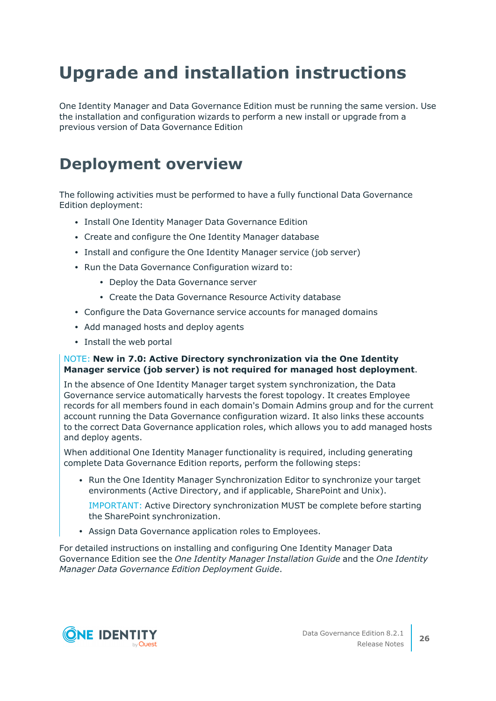# **Upgrade and installation instructions**

One Identity Manager and Data Governance Edition must be running the same version. Use the installation and configuration wizards to perform a new install or upgrade from a previous version of Data Governance Edition

## **Deployment overview**

The following activities must be performed to have a fully functional Data Governance Edition deployment:

- Install One Identity Manager Data Governance Edition
- Create and configure the One Identity Manager database
- Install and configure the One Identity Manager service (job server)
- Run the Data Governance Configuration wizard to:
	- Deploy the Data Governance server
	- Create the Data Governance Resource Activity database
- Configure the Data Governance service accounts for managed domains
- Add managed hosts and deploy agents
- Install the web portal

#### NOTE: **New in 7.0: Active Directory synchronization via the One Identity Manager service (job server) is not required for managed host deployment**.

In the absence of One Identity Manager target system synchronization, the Data Governance service automatically harvests the forest topology. It creates Employee records for all members found in each domain's Domain Admins group and for the current account running the Data Governance configuration wizard. It also links these accounts to the correct Data Governance application roles, which allows you to add managed hosts and deploy agents.

When additional One Identity Manager functionality is required, including generating complete Data Governance Edition reports, perform the following steps:

• Run the One Identity Manager Synchronization Editor to synchronize your target environments (Active Directory, and if applicable, SharePoint and Unix).

IMPORTANT: Active Directory synchronization MUST be complete before starting the SharePoint synchronization.

• Assign Data Governance application roles to Employees.

For detailed instructions on installing and configuring One Identity Manager Data Governance Edition see the *One Identity Manager Installation Guide* and the *One Identity Manager Data Governance Edition Deployment Guide*.

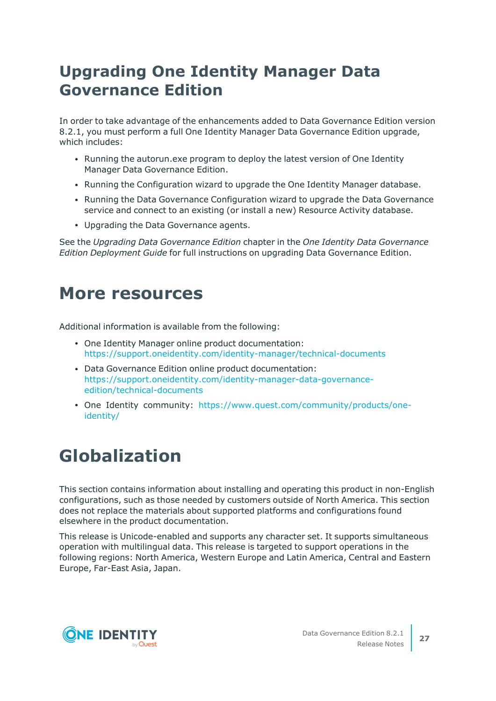### **Upgrading One Identity Manager Data Governance Edition**

In order to take advantage of the enhancements added to Data Governance Edition version 8.2.1, you must perform a full One Identity Manager Data Governance Edition upgrade, which includes:

- Running the autorun.exe program to deploy the latest version of One Identity Manager Data Governance Edition.
- Running the Configuration wizard to upgrade the One Identity Manager database.
- Running the Data Governance Configuration wizard to upgrade the Data Governance service and connect to an existing (or install a new) Resource Activity database.
- Upgrading the Data Governance agents.

See the *Upgrading Data Governance Edition* chapter in the *One Identity Data Governance Edition Deployment Guide* for full instructions on upgrading Data Governance Edition.

### **More resources**

Additional information is available from the following:

- One Identity Manager online product documentation: [https://support.oneidentity.com/identity-manager/technical-documents](https://support.oneidentity.com/identity-manager/technical-documents/)
- Data Governance Edition online product documentation: [https://support.oneidentity.com/identity-manager-data-governance](https://support.oneidentity.com/identity-manager-data-governance-edition/technical-documents)[edition/technical-documents](https://support.oneidentity.com/identity-manager-data-governance-edition/technical-documents)
- One Identity community: [https://www.quest.com/community/products/one](https://www.quest.com/community/products/one-identity/)[identity/](https://www.quest.com/community/products/one-identity/)

# **Globalization**

This section contains information about installing and operating this product in non-English configurations, such as those needed by customers outside of North America. This section does not replace the materials about supported platforms and configurations found elsewhere in the product documentation.

This release is Unicode-enabled and supports any character set. It supports simultaneous operation with multilingual data. This release is targeted to support operations in the following regions: North America, Western Europe and Latin America, Central and Eastern Europe, Far-East Asia, Japan.

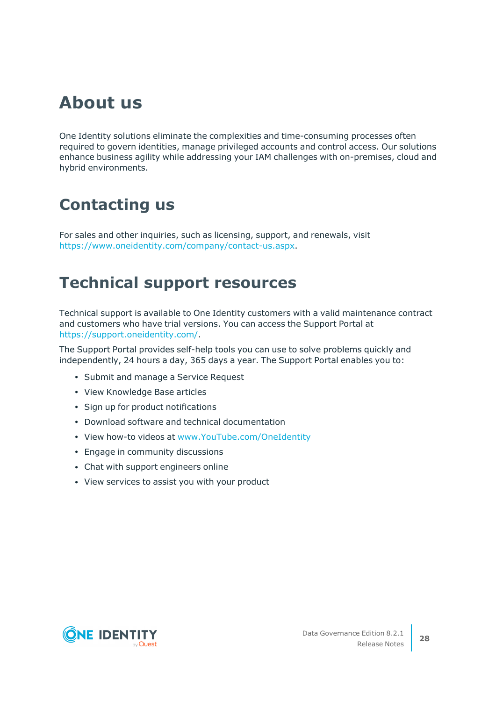# **About us**

One Identity solutions eliminate the complexities and time-consuming processes often required to govern identities, manage privileged accounts and control access. Our solutions enhance business agility while addressing your IAM challenges with on-premises, cloud and hybrid environments.

## **Contacting us**

For sales and other inquiries, such as licensing, support, and renewals, visit [https://www.oneidentity.com/company/contact-us.aspx.](https://www.oneidentity.com/company/contact-us.aspx)

### **Technical support resources**

Technical support is available to One Identity customers with a valid maintenance contract and customers who have trial versions. You can access the Support Portal at [https://support.oneidentity.com/.](https://support.oneidentity.com/)

The Support Portal provides self-help tools you can use to solve problems quickly and independently, 24 hours a day, 365 days a year. The Support Portal enables you to:

- Submit and manage a Service Request
- View Knowledge Base articles
- Sign up for product notifications
- Download software and technical documentation
- View how-to videos at [www.YouTube.com/OneIdentity](http://www.youtube.com/OneIdentity)
- Engage in community discussions
- Chat with support engineers online
- View services to assist you with your product